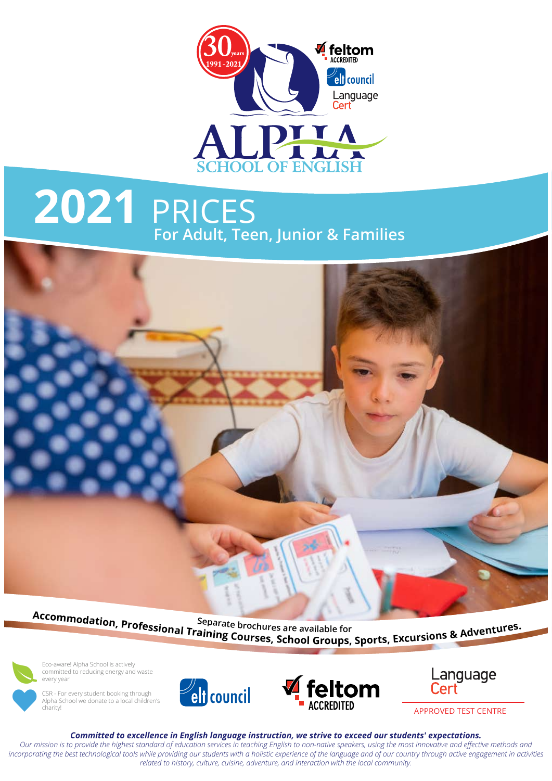

# **2021** PRICES **For Adult, Teen, Junior & Families**



Accommodation, Professional Training Courses are available for<br>Training Courses, School Groups, Sports, Excursions & Adventures.



Eco-aware! Alpha School is actively committed to reducing energy and waste every year



CSR - For every student booking through Alpha School we donate to a local children's charity!





*Committed to excellence in English language instruction, we strive to exceed our students' expectations.*

*Our mission is to provide the highest standard of education services in teaching English to non-native speakers, using the most innovative and effective methods and*  incorporating the best technological tools while providing our students with a holistic experience of the language and of our country through active engagement in activities *related to history, culture, cuisine, adventure, and interaction with the local community.*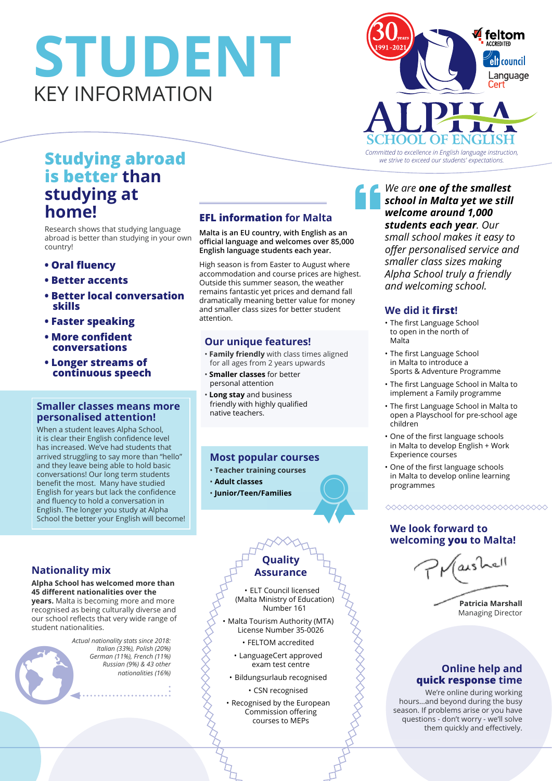# **STUDENT** KEY INFORMATION



# **is better than studying at home!**

Research shows that studying language abroad is better than studying in your own country!

- **Oral fluency**
- **Better accents**
- **Better local conversation skills**
- **Faster speaking**
- **More confident conversations**
- **Longer streams of continuous speech**

## **Smaller classes means more personalised attention!**

When a student leaves Alpha School, it is clear their English confidence level has increased. We've had students that arrived struggling to say more than "hello" and they leave being able to hold basic conversations! Our long term students benefit the most. Many have studied English for years but lack the confidence and fluency to hold a conversation in English. The longer you study at Alpha School the better your English will become!

## **Nationality mix**

#### **Alpha School has welcomed more than 45 different nationalities over the**

**years.** Malta is becoming more and more recognised as being culturally diverse and our school reflects that very wide range of student nationalities.

*Actual nationality stats since 2018: Italian (33%), Polish (20%) German (11%), French (11%) Russian (9%) & 43 other nationalities (16%)*  $\begin{picture}(100,100) \put(0,0){\vector(0,1){100}} \put(10,0){\vector(0,1){100}} \put(10,0){\vector(0,1){100}} \put(10,0){\vector(0,1){100}} \put(10,0){\vector(0,1){100}} \put(10,0){\vector(0,1){100}} \put(10,0){\vector(0,1){100}} \put(10,0){\vector(0,1){100}} \put(10,0){\vector(0,1){100}} \put(10,0){\vector(0,1){100}} \put(10,0){\vector(0,1){100$ 

## **EFL information for Malta**

**Malta is an EU country, with English as an official language and welcomes over 85,000 English language students each year.** 

High season is from Easter to August where accommodation and course prices are highest. Outside this summer season, the weather remains fantastic yet prices and demand fall dramatically meaning better value for money and smaller class sizes for better student attention.

### **Our unique features!**

- **Family friendly** with class times aligned for all ages from 2 years upwards
- **Smaller classes** for better personal attention
- **Long stay** and business friendly with highly qualified native teachers.

## **Most popular courses**

## • **Teacher training courses**

- **Adult classes**
- **Junior/Teen/Families**

## **Quality Assurance**

8

• ELT Council licensed (Malta Ministry of Education) Number 161

- Malta Tourism Authority (MTA) License Number 35-0026
	- FELTOM accredited
	- LanguageCert approved exam test centre
	- Bildungsurlaub recognised
		- CSN recognised •
- Recognised by the European Commission offering courses to MEPs

*We are one of the smallest school in Malta yet we still welcome around 1,000 students each year. Our small school makes it easy to offer personalised service and smaller class sizes making Alpha School truly a friendly and welcoming school.*

## **We did it first!**

 $\mathbf{f}$ 

- The first Language School to open in the north of Malta
- The first Language School in Malta to introduce a Sports & Adventure Programme
- The first Language School in Malta to implement a Family programme
- The first Language School in Malta to open a Playschool for pre-school age children
- One of the first language schools in Malta to develop English + Work Experience courses
- One of the first language schools in Malta to develop online learning programmes

### ◇◇◇◇◇◇◇◇◇◇◇◇◇◇◇◇◇◇◇◇◇◇◇◇◇◇◇◇◇◇

## **We look forward to welcoming you to Malta!**



## **Online help and quick response time**

We're online during working hours…and beyond during the busy season. If problems arise or you have questions - don't worry - we'll solve them quickly and effectively.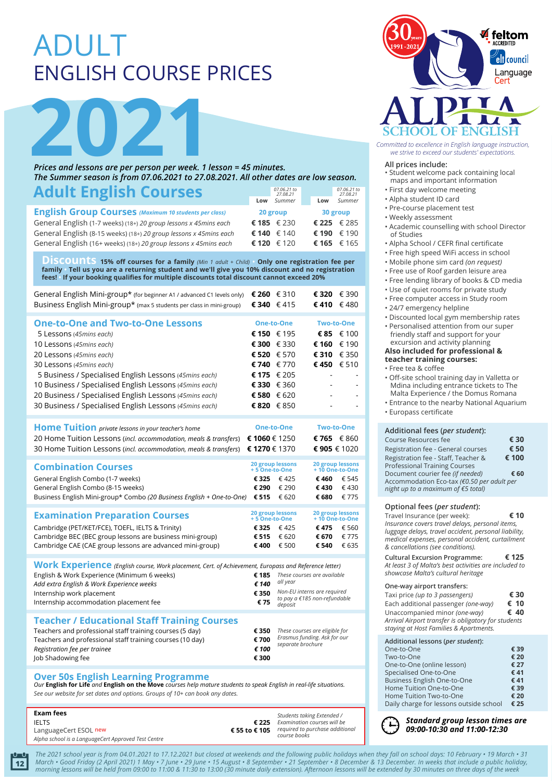# ADULT ENGLISH COURSE PRICES



*Prices and lessons are per person per week. 1 lesson = 45 minutes. The Summer season is from 07.06.2021 to 27.08.2021. All other dates are low season.*

| <b>Adult English Courses</b>                                      |     | 07.06.21 to<br>27.08.21 |  |     | 07.06.21 to<br>27.08.21 |
|-------------------------------------------------------------------|-----|-------------------------|--|-----|-------------------------|
|                                                                   | Low | Summer                  |  | Low | Summer                  |
| <b>English Group Courses</b> (Maximum 10 students per class)      |     | 20 group                |  |     | 30 group                |
| General English (1-7 weeks) (18+) 20 group lessons x 45mins each  |     | € 185 € 230             |  |     | €225 €285               |
| General English (8-15 weeks) (18+) 20 group lessons x 45mins each |     | € 140 $€ 140$           |  |     | € 190 € 190             |
| General English (16+ weeks) (18+) 20 group lessons x 45mins each  |     | € 120 € 120             |  |     | € 165 $\in$ 165         |

 $\overline{D}$  is COUNTLS 15% off courses for a family (Min 1 adult + Child) Only one registration fee per family  $\cdot$  Tell us you are a returning student and we'll give you 10% discount and no registration **fees! • If your booking qualifies for multiple discounts total discount cannot exceed 20%**

| General English Mini-group* (for beginner A1 / advanced C1 levels only) € 260 € 310<br>Business English Mini-group* (max 5 students per class in mini-group) | €340 $€415$   | € 320 $€ 390$<br>€410 $€480$ |
|--------------------------------------------------------------------------------------------------------------------------------------------------------------|---------------|------------------------------|
| <b>One-to-One and Two-to-One Lessons</b>                                                                                                                     | One-to-One    | <b>Two-to-One</b>            |
| 5 Lessons (45mins each)                                                                                                                                      | € 150 € 195   | € 85 $€ 100$                 |
| 10 Lessons (45mins each)                                                                                                                                     | € 300 $€ 330$ | € 160 € 190                  |
| 20 Lessons (45mins each)                                                                                                                                     | € 520 € 570   | €310 $€350$                  |

| 30 Lessons (45mins each)                                         | € 740 $€ 770$     | €450 €510                |
|------------------------------------------------------------------|-------------------|--------------------------|
| 5 Business / Specialised English Lessons (45mins each)           | € 175 € 205       |                          |
| 10 Business / Specialised English Lessons (45mins each)          | € 330 $€ 360$     |                          |
| 20 Business / Specialised English Lessons (45mins each)          | € 580 $€ 620$     | $\overline{\phantom{a}}$ |
| 30 Business / Specialised English Lessons (45mins each)          | € 820 € 850       | ۰                        |
|                                                                  |                   |                          |
| Home Tuition private lessons in your teacher's home              | <b>One-to-One</b> | <b>Two-to-One</b>        |
| 20 Home Tuition Lessons (incl. accommodation, meals & transfers) | € 1060 € 1250     | € 765 $€ 860$            |
| 30 Home Tuition Lessons (incl. accommodation, meals & transfers) | € 1270 € 1370     | €905 € 1020              |

| <b>Combination Courses</b>                                                        | 20 group lessons<br>+5 One-to-One |       | 20 group lessons<br>+10 One-to-One |       |
|-----------------------------------------------------------------------------------|-----------------------------------|-------|------------------------------------|-------|
| General English Combo (1-7 weeks)                                                 | € 325 $€ 425$                     |       | € 460                              | € 545 |
| General English Combo (8-15 weeks)                                                | € 290                             | € 290 | € 430                              | € 430 |
| Business English Mini-group* Combo (20 Business English + One-to-One) € 515 € 620 |                                   |       | € 680                              | € 775 |

| <b>Examination Preparation Courses</b>                    | 20 group lessons<br>+5 One-to-One |               | 20 group lessons<br>+10 One-to-One |       |
|-----------------------------------------------------------|-----------------------------------|---------------|------------------------------------|-------|
| Cambridge (PET/KET/FCE), TOEFL, IELTS & Trinity)          |                                   | € 325 $€ 425$ | €475 $€560$                        |       |
| Cambridge BEC (BEC group lessons are business mini-group) | €515                              | € 620         | € 670 € 775                        |       |
| Cambridge CAE (CAE group lessons are advanced mini-group) | € 400                             | € 500         | € 540                              | € 635 |

| Work Experience (English course, Work placement, Cert. of Achievement, Europass and Reference letter) |       |                                         |  |  |
|-------------------------------------------------------------------------------------------------------|-------|-----------------------------------------|--|--|
| English & Work Experience (Minimum 6 weeks)                                                           | € 185 | These courses are available             |  |  |
| Add extra English & Work Experience weeks                                                             | £140  | all year                                |  |  |
| Internship work placement                                                                             | € 350 | Non-EU interns are required             |  |  |
| Internship accommodation placement fee                                                                | €75   | to pay a €185 non-refundable<br>deposit |  |  |
|                                                                                                       |       |                                         |  |  |

#### **Teacher / Educational Staff Training Courses** Teachers and professional staff training courses (5 day)

| Teachers and professional staff training courses (5 day)  | € 350 | These courses are eligible for                    |
|-----------------------------------------------------------|-------|---------------------------------------------------|
| Teachers and professional staff training courses (10 day) | € 700 | Erasmus funding. Ask for our<br>separate brochure |
| Registration fee per trainee                              | € 100 |                                                   |
| Job Shadowing fee                                         | € 300 |                                                   |
|                                                           |       |                                                   |

## **Over 50s English Learning Programme**

**12**

*Our* **English for Life** *and* **English on the Move** *courses help mature students to speak English in real-life situations. See our website for set dates and options. Groups of 10+ can book any dates.*

| Exam fees                                           |               | Students taking Extended /      |
|-----------------------------------------------------|---------------|---------------------------------|
| <b>IELTS</b>                                        | € 225         | Examination courses will be     |
| LanguageCert ESOL new                               | € 55 to € 105 | required to purchase additional |
| Alpha school is a LanguageCert Approved Test Centre |               | course books                    |



Committed to excellence in English language instruction,

#### **All prices include:**

- Student welcome pack containing local maps and important information
- First day welcome meeting
- Alpha student ID card
- Pre-course placement test
- Weekly assessment
- Academic counselling with school Director of Studies
- Alpha School / CEFR final certificate
- Free high speed WiFi access in school
- Mobile phone sim card *(on request)*
- Free use of Roof garden leisure area
- Free lending library of books & CD media
- Use of quiet rooms for private study
- Free computer access in Study room
- 24/7 emergency helpline
- Discounted local gym membership rates
- Personalised attention from our super
- friendly staff and support for your excursion and activity planning

#### **Also included for professional & teacher training courses:**

- Free tea & coffee
- Off-site school training day in Valletta or Mdina including entrance tickets to The Malta Experience / the Domus Romana
- Entrance to the nearby National Aquarium
- Europass certificate

#### **Additional fees (***per student***):**

| Course Resources fee                       | € 30  |
|--------------------------------------------|-------|
| Registration fee - General courses         | € 50  |
| Registration fee - Staff, Teacher &        | € 100 |
| <b>Professional Training Courses</b>       |       |
| Document courier fee (if needed)           | € 60  |
| Accommodation Eco-tax (€0.50 per adult per |       |
| night up to a maximum of €5 total)         |       |
|                                            |       |

#### **Optional fees (***per student***):**

Travel Insurance (per week): **€ 10** *Insurance covers travel delays, personal items, luggage delays, travel accident, personal liability, medical expenses, personal accident, curtailment & cancellations (see conditions).*

**Cultural Excursion Programme: € 125** *At least 3 of Malta's best activities are included to showcase Malta's cultural heritage* 

#### **One-way airport transfers:**

| Taxi price (up to 3 passengers)                     | € 30 |
|-----------------------------------------------------|------|
| Each additional passenger (one-way)                 | € 10 |
| Unaccompanied minor (one-way)                       | € 40 |
| Arrival Airport transfer is obligatory for students |      |
| staying at Host Families & Apartments.              |      |

| Additional lessons (per student):       |      |
|-----------------------------------------|------|
| One-to-One                              | € 39 |
| Two-to-One                              | € 20 |
| One-to-One (online lesson)              | € 27 |
| Specialised One-to-One                  | €41  |
| <b>Business English One-to-One</b>      | €41  |
| Home Tuition One-to-One                 | € 39 |
| Home Tuition Two-to-One                 | € 20 |
| Daily charge for lessons outside school | € 25 |

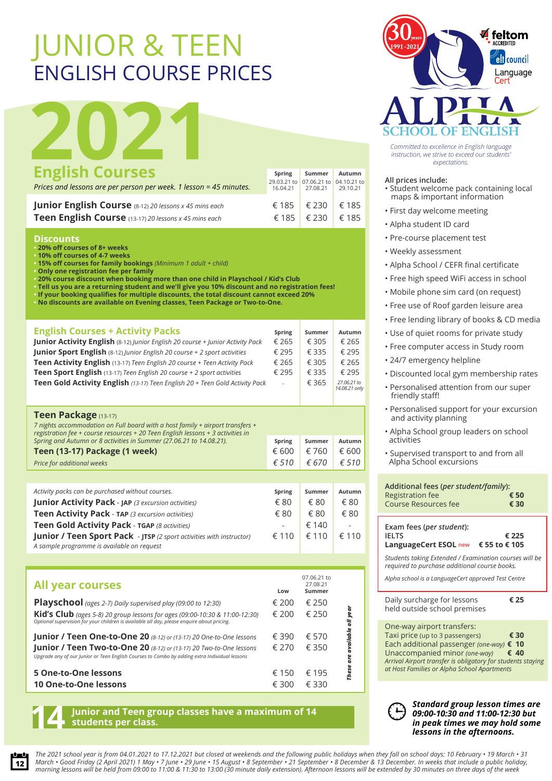# JUNIOR & TEEN ENGLISH COURSE PRICES

|                                                                    |                       |                                   |               | <b>TTA</b><br><b>SCHOOL OF ENGLISH</b>                                                                         |
|--------------------------------------------------------------------|-----------------------|-----------------------------------|---------------|----------------------------------------------------------------------------------------------------------------|
|                                                                    |                       |                                   |               | Committed to excellence in English language<br>instruction, we strive to exceed our students'<br>expectations. |
| <b>English Courses</b>                                             | Spring<br>29.03.21 to | Summer<br>07.06.21 to 04.10.21 to | <b>Autumn</b> | All prices include:                                                                                            |
| Prices and lessons are per person per week. 1 lesson = 45 minutes. | 16.04.21              | 27.08.21                          | 29.10.21      | · Student welcome pack containing<br>maps & important information                                              |
| Junior English Course (8-12) 20 lessons x 45 mins each             | € 185                 | € 230                             | € 185         |                                                                                                                |
| Teen English Course (13-17) 20 lessons x 45 mins each              | € 185                 | € 230                             | € 185         | • First day welcome meeting                                                                                    |
|                                                                    |                       |                                   |               | • Alpha student ID card                                                                                        |

#### **Discounts**

- **20% off courses of 8+ weeks**
- **10% off courses of 4-7 weeks**

**• 15% off courses for family bookings** *(Minimum 1 adult + child)* **• Only one registration fee per family**

**• 20% course discount when booking more than one child in Playschool / Kid's Club**

**• Tell us you are a returning student and we'll give you 10% discount and no registration fees! • If your booking qualifies for multiple discounts, the total discount cannot exceed 20%**

**• No discounts are available on Evening classes, Teen Package or Two-to-One.**

| <b>English Courses + Activity Packs</b>                                                 | Spring | Summer  | Autumn                      |
|-----------------------------------------------------------------------------------------|--------|---------|-----------------------------|
| <b>Junior Activity English</b> (8-12) Junior English 20 course + Junior Activity Pack   | € 265  | € 305   | € 265                       |
| <b>Junior Sport English</b> (8-12) <i>Junior English 20 course + 2 sport activities</i> | € 295  | $£$ 335 | $£$ 295                     |
| Teen Activity English (13-17) Teen English 20 course + Teen Activity Pack               | € 265  | € 305   | € 265                       |
| Teen Sport English (13-17) Teen English 20 course + 2 sport activities                  | € 295  | € 335   | € 295                       |
| Teen Gold Activity English (13-17) Teen English 20 + Teen Gold Activity Pack            | $\sim$ | € 365   | 27.06.21 to<br>14.08.21 onl |

| <b>Teen Package (13-17)</b><br>7 nights accommodation on Full board with a host family + airport transfers +<br>registration fee + course resources + 20 Teen English lessons + 3 activities in<br>Spring and Autumn or 8 activities in Summer (27.06.21 to 14.08.21). |                |                |                |
|------------------------------------------------------------------------------------------------------------------------------------------------------------------------------------------------------------------------------------------------------------------------|----------------|----------------|----------------|
|                                                                                                                                                                                                                                                                        | Spring         | Summer         | <b>Autumn</b>  |
| Teen (13-17) Package (1 week)                                                                                                                                                                                                                                          | € 600          | € 760          | € 600          |
| Price for additional weeks                                                                                                                                                                                                                                             | $\epsilon$ 510 | € 670          | $\epsilon$ 510 |
|                                                                                                                                                                                                                                                                        |                |                |                |
| Activity packs can be purchased without courses.                                                                                                                                                                                                                       | Spring         | Summer         | Autumn         |
| <b>Junior Activity Pack - JAP (3 excursion activities)</b>                                                                                                                                                                                                             | € 80           | € 80           | € 80           |
| Teen Activity Pack - TAP (3 excursion activities)                                                                                                                                                                                                                      | € 80           | € 80           | € 80           |
| Teen Gold Activity Pack - TGAP (8 activities)                                                                                                                                                                                                                          |                | € 140          |                |
| <b>Junior / Teen Sport Pack</b> - JTSP (2 sport activities with instructor)<br>A sample programme is available on request                                                                                                                                              | € 110          | $\epsilon$ 110 | $\epsilon$ 110 |

| <b>All year courses</b>                                                                                                                                                   | Low   | 07.06.21 to<br>27.08.21<br>Summer |           |
|---------------------------------------------------------------------------------------------------------------------------------------------------------------------------|-------|-----------------------------------|-----------|
| Playschool (ages 2-7) Daily supervised play (09:00 to 12:30)                                                                                                              | € 200 | € 250                             |           |
| Kid's Club (ages 5-8) 20 group lessons for ages (09:00-10:30 & 11:00-12:30)<br>Optional supervision for your children is available all day, please enquire about pricing. | € 200 | € 250                             | all year  |
| <b>Junior / Teen One-to-One 20</b> (8-12) or (13-17) 20 One-to-One lessons                                                                                                | € 390 | € 570                             | available |
| Junior / Teen Two-to-One 20 (8-12) or (13-17) 20 Two-to-One lessons<br>Upgrade any of our Junior or Teen English Courses to Combo by adding extra Individual lessons      | € 270 | € 350                             |           |
| 5 One-to-One lessons                                                                                                                                                      | € 150 | € 195                             | These     |
| 10 One-to-One lessons                                                                                                                                                     | € 300 | € 330                             |           |

**Junior and Teen group classes have a maximum of 14 14 students per class.**



#### **All prices include:**

- Student welcome pack containing local maps & important information
- First day welcome meeting
- Alpha student ID card
- Pre-course placement test
- Weekly assessment
- Alpha School / CEFR final certificate
- Free high speed WiFi access in school
- Mobile phone sim card (on request)
- Free use of Roof garden leisure area
	- Free lending library of books & CD media
	- Use of quiet rooms for private study
	- Free computer access in Study room
	- 24/7 emergency helpline

*14.08.21 only*

- Discounted local gym membership rates
- Personalised attention from our super friendly staff!
- Personalised support for your excursion and activity planning
- Alpha School group leaders on school activities
- Supervised transport to and from all Alpha School excursions

| Additional fees (per student/family):<br><b>Registration fee</b><br><b>Course Resources fee</b>                                                                                                                                                     | € 50<br>€ 30           |
|-----------------------------------------------------------------------------------------------------------------------------------------------------------------------------------------------------------------------------------------------------|------------------------|
| Exam fees ( <i>per student</i> ):<br><b>IELTS</b><br>LanguageCert ESOL new                                                                                                                                                                          | € 225<br>€ 55 to € 105 |
| Students taking Extended / Examination courses will be<br>required to purchase additional course books.                                                                                                                                             |                        |
| Alpha school is a LanguageCert approved Test Centre                                                                                                                                                                                                 |                        |
| Daily surcharge for lessons<br>held outside school premises                                                                                                                                                                                         | € 25                   |
| One-way airport transfers:<br>Taxi price (up to 3 passengers)<br>Each additional passenger (one-way)<br>Unaccompanied minor (one-way)<br>Arrival Airport transfer is obligatory for students staying<br>at Host Families or Alpha School Apartments | € 30<br>€ 10<br>€ 40   |



## *Standard group lesson times are 09:00-10:30 and 11:00-12:30 but in peak times we may hold some lessons in the afternoons.*

*The 2021 school year is from 04.01.2021 to 17.12.2021 but closed at weekends and the following public holidays when they fall on school days: 10 February • 19 March • 31 March • Good Friday (2 April 2021) 1 May • 7 June • 29 June • 15 August • 8 September • 21 September • 8 December & 13 December. In weeks that include a public holiday, morning lessons will be held from 09:00 to 11:00 & 11:30 to 13:00 (30 minute daily extension). Afternoon lessons will be extended by 30 minutes on three days of the week*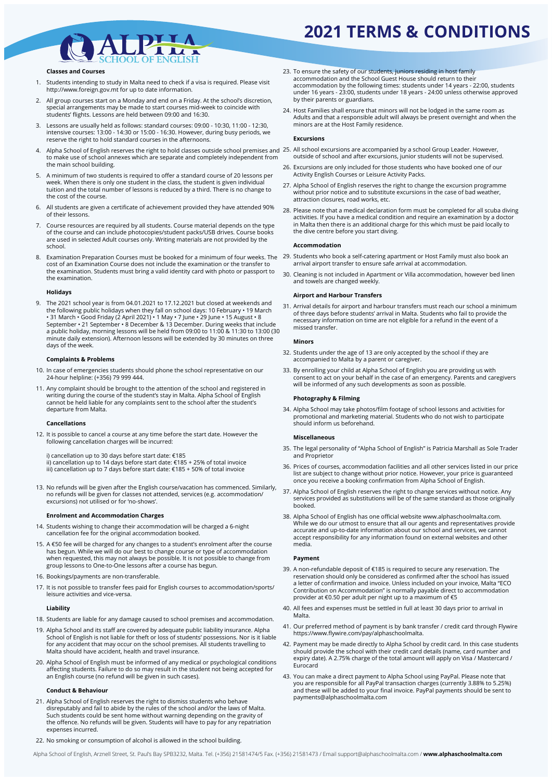## **2021 TERMS & CONDITIONS**



#### **Classes and Courses**

- Students intending to study in Malta need to check if a visa is required. Please visit http://www.foreign.gov.mt for up to date information. 1.
- All group courses start on a Monday and end on a Friday. At the school's discretion, special arrangements may be made to start courses mid-week to coincide with students' flights. Lessons are held between 09:00 and 16:30. 2.
- Lessons are usually held as follows: standard courses: 09:00 10:30, 11:00 12:30, intensive courses: 13:00 - 14:30 or 15:00 - 16:30. However, during busy periods, we reserve the right to hold standard courses in the afternoons. 3.
- Alpha School of English reserves the right to hold classes outside school premises and 25. All school excursions are accompanied by a school Group Leader. However, to make use of school annexes which are separate and completely independent from the main school building. 4.
- A minimum of two students is required to offer a standard course of 20 lessons per week. When there is only one student in the class, the student is given individual tuition and the total number of lessons is reduced by a third. There is no change to the cost of the course. 5.
- All students are given a certificate of achievement provided they have attended 90% of their lessons. 6.
- Course resources are required by all students. Course material depends on the type of the course and can include photocopies/student packs/USB drives. Course books are used in selected Adult courses only. Writing materials are not provided by the school. 7.
- Examination Preparation Courses must be booked for a minimum of four weeks. The 29. Students who book a self-catering apartment or Host Family must also book an cost of an Examination Course does not include the examination or the transfer to the examination. Students must bring a valid identity card with photo or passport to the examination. 8.

#### **Holidays**

The 2021 school year is from 04.01.2021 to 17.12.2021 but closed at weekends and the following public holidays when they fall on school days: 10 February • 19 March 9. • 31 March • Good Friday (2 April 2021) • 1 May • 7 June • 29 June • 15 August • 8 September • 21 September • 8 December & 13 December. During weeks that include a public holiday, morning lessons will be held from 09:00 to 11:00 & 11:30 to 13:00 (30 minute daily extension). Afternoon lessons will be extended by 30 minutes on three days of the week.

#### **Complaints & Problems**

- 10. In case of emergencies students should phone the school representative on our 24-hour helpline: (+356) 79 999 444.
- 11. Any complaint should be brought to the attention of the school and registered in writing during the course of the student's stay in Malta. Alpha School of English cannot be held liable for any complaints sent to the school after the student's departure from Malta.

#### **Cancellations**

12. It is possible to cancel a course at any time before the start date. However the following cancellation charges will be incurred:

i) cancellation up to 30 days before start date: €185 ii) cancellation up to 14 days before start date: €185 + 25% of total invoice iii) cancellation up to 7 days before start date: €185 + 50% of total invoice

13. No refunds will be given after the English course/vacation has commenced. Similarly, no refunds will be given for classes not attended, services (e.g. accommodation/ excursions) not utilised or for 'no-shows'.

#### **Enrolment and Accommodation Charges**

- 14. Students wishing to change their accommodation will be charged a 6-night cancellation fee for the original accommodation booked.
- 15. A €50 fee will be charged for any changes to a student's enrolment after the course has begun. While we will do our best to change course or type of accommodation when requested, this may not always be possible. It is not possible to change from group lessons to One-to-One lessons after a course has begun.
- 16. Bookings/payments are non-transferable.
- 17. It is not possible to transfer fees paid for English courses to accommodation/sports/ leisure activities and vice-versa.

#### **Liability**

- 18. Students are liable for any damage caused to school premises and accommodation.
- 19. Alpha School and its staff are covered by adequate public liability insurance. Alpha School of English is not liable for theft or loss of students' possessions. Nor is it liable for any accident that may occur on the school premises. All students travelling to Malta should have accident, health and travel insurance.
- 20. Alpha School of English must be informed of any medical or psychological conditions affecting students. Failure to do so may result in the student not being accepted for an English course (no refund will be given in such cases).

#### **Conduct & Behaviour**

- 21. Alpha School of English reserves the right to dismiss students who behave disreputably and fail to abide by the rules of the school and/or the laws of Malta. Such students could be sent home without warning depending on the gravity of the offence. No refunds will be given. Students will have to pay for any repatriation expenses incurred.
- 22. No smoking or consumption of alcohol is allowed in the school building.
- To ensure the safety of our students, juniors residing in host family accommodation and the School Guest House should return to their 23. accommodation by the following times: students under 14 years - 22:00, students under 16 years - 23:00, students under 18 years - 24:00 unless otherwise approved by their parents or guardians.
- 24. Host Families shall ensure that minors will not be lodged in the same room as Adults and that a responsible adult will always be present overnight and when the minors are at the Host Family residence.

#### **Excursions**

- outside of school and after excursions, junior students will not be supervised.
- 26. Excursions are only included for those students who have booked one of our Activity English Courses or Leisure Activity Packs.
- 27. Alpha School of English reserves the right to change the excursion programme without prior notice and to substitute excursions in the case of bad weather, attraction closures, road works, etc.
- 28. Please note that a medical declaration form must be completed for all scuba diving activities. If you have a medical condition and require an examination by a doctor in Malta then there is an additional charge for this which must be paid locally to the dive centre before you start diving.

#### **Accommodation**

- arrival airport transfer to ensure safe arrival at accommodation.
- Cleaning is not included in Apartment or Villa accommodation, however bed linen 30. and towels are changed weekly.

#### **Airport and Harbour Transfers**

31. Arrival details for airport and harbour transfers must reach our school a minimum of three days before students' arrival in Malta. Students who fail to provide the necessary information on time are not eligible for a refund in the event of a missed transfer.

#### **Minors**

- Students under the age of 13 are only accepted by the school if they are 32. accompanied to Malta by a parent or caregiver.
- 33. By enrolling your child at Alpha School of English you are providing us with consent to act on your behalf in the case of an emergency. Parents and caregivers will be informed of any such developments as soon as possible.

#### **Photography & Filming**

34. Alpha School may take photos/film footage of school lessons and activities for promotional and marketing material. Students who do not wish to participate should inform us beforehand.

#### **Miscellaneous**

- 35. The legal personality of "Alpha School of English" is Patricia Marshall as Sole Trader and Proprietor
- 36. Prices of courses, accommodation facilities and all other services listed in our price list are subject to change without prior notice. However, your price is guaranteed once you receive a booking confirmation from Alpha School of English.
- 37. Alpha School of English reserves the right to change services without notice. Any services provided as substitutions will be of the same standard as those originally booked.
- 38. Alpha School of English has one official website www.alphaschoolmalta.com. While we do our utmost to ensure that all our agents and representatives provide accurate and up-to-date information about our school and services, we cannot accept responsibility for any information found on external websites and other media.

#### **Payment**

- A non-refundable deposit of €185 is required to secure any reservation. The 39. reservation should only be considered as confirmed after the school has issued a letter of confirmation and invoice. Unless included on your invoice, Malta "ECO Contribution on Accommodation" is normally payable direct to accommodation provider at €0.50 per adult per night up to a maximum of €5
- All fees and expenses must be settled in full at least 30 days prior to arrival in 40. Malta.
- 41. Our preferred method of payment is by bank transfer / credit card through Flywire https://www.flywire.com/pay/alphaschoolmalta.
- 42. Payment may be made directly to Alpha School by credit card. In this case students should provide the school with their credit card details (name, card number and expiry date). A 2.75% charge of the total amount will apply on Visa / Mastercard / Eurocard
- 43. You can make a direct payment to Alpha School using PayPal. Please note that you are responsible for all PayPal transaction charges (currently 3.88% to 5.25%) and these will be added to your final invoice. PayPal payments should be sent to payments@alphaschoolmalta.com

Alpha School of English, Arznell Street, St. Paul's Bay SPB3232, Malta. Tel. (+356) 21581474/5 Fax. (+356) 21581473 / Email support@alphaschoolmalta.com / **www.alphaschoolmalta.com**